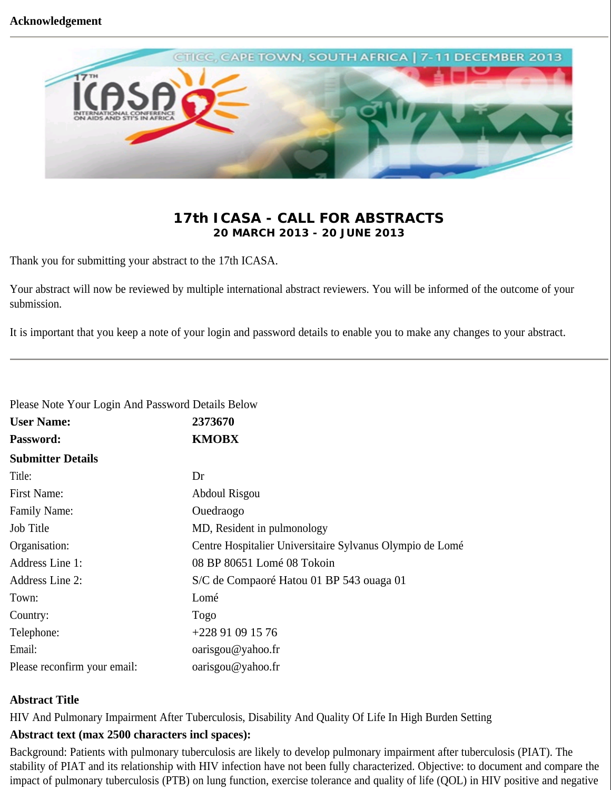

# **17th ICASA - CALL FOR ABSTRACTS 20 MARCH 2013 - 20 JUNE 2013**

Thank you for submitting your abstract to the 17th ICASA.

Your abstract will now be reviewed by multiple international abstract reviewers. You will be informed of the outcome of your submission.

It is important that you keep a note of your login and password details to enable you to make any changes to your abstract.

| Please Note Your Login And Password Details Below |                                                           |
|---------------------------------------------------|-----------------------------------------------------------|
| <b>User Name:</b>                                 | 2373670                                                   |
| <b>Password:</b>                                  | <b>KMOBX</b>                                              |
| <b>Submitter Details</b>                          |                                                           |
| Title:                                            | Dr                                                        |
| First Name:                                       | Abdoul Risgou                                             |
| <b>Family Name:</b>                               | Ouedraogo                                                 |
| Job Title                                         | MD, Resident in pulmonology                               |
| Organisation:                                     | Centre Hospitalier Universitaire Sylvanus Olympio de Lomé |
| Address Line 1:                                   | 08 BP 80651 Lomé 08 Tokoin                                |
| <b>Address Line 2:</b>                            | S/C de Compaoré Hatou 01 BP 543 ouaga 01                  |
| Town:                                             | Lomé                                                      |
| Country:                                          | Togo                                                      |
| Telephone:                                        | +228 91 09 15 76                                          |
| Email:                                            | oarisgou@yahoo.fr                                         |
| Please reconfirm your email:                      | oarisgou@yahoo.fr                                         |

## **Abstract Title**

HIV And Pulmonary Impairment After Tuberculosis, Disability And Quality Of Life In High Burden Setting

## **Abstract text (max 2500 characters incl spaces):**

Background: Patients with pulmonary tuberculosis are likely to develop pulmonary impairment after tuberculosis (PIAT). The stability of PIAT and its relationship with HIV infection have not been fully characterized. Objective: to document and compare the impact of pulmonary tuberculosis (PTB) on lung function, exercise tolerance and quality of life (QOL) in HIV positive and negative